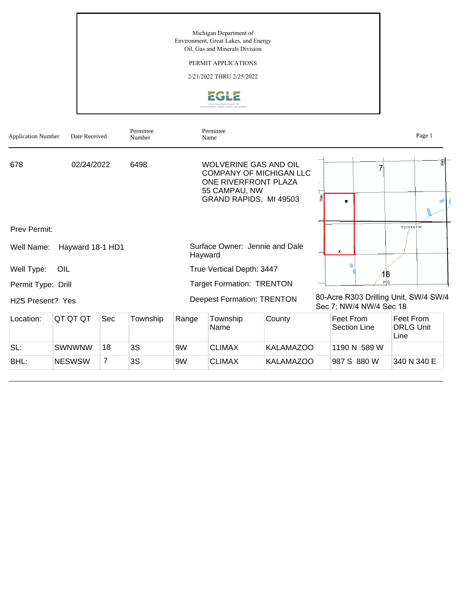Michigan Department of Environment, Great Lakes, and Energy Oil, Gas and Minerals Division

## PERMIT APPLICATIONS

2/21/2022 THRU 2/25/2022



| <b>Application Number</b>     | Date Received    |     | Permittee<br>Number |                                                                                                       | Permittee<br>Name                                                                                                                 |                  |                           |      | Page 1                        |
|-------------------------------|------------------|-----|---------------------|-------------------------------------------------------------------------------------------------------|-----------------------------------------------------------------------------------------------------------------------------------|------------------|---------------------------|------|-------------------------------|
| 678                           | 02/24/2022       |     | 6498                |                                                                                                       | <b>WOLVERINE GAS AND OIL</b><br><b>COMPANY OF MICHIGAN LLC</b><br>ONE RIVERFRONT PLAZA<br>55 CAMPAU, NW<br>GRAND RAPIDS, MI 49503 |                  |                           |      | 翦                             |
| <b>Prev Permit:</b>           |                  |     |                     |                                                                                                       |                                                                                                                                   |                  |                           |      | T03SR09W                      |
| Well Name:                    | Hayward 18-1 HD1 |     |                     | Surface Owner: Jennie and Dale<br>x<br>Hayward                                                        |                                                                                                                                   |                  |                           |      |                               |
| Well Type:                    | OIL              |     |                     | True Vertical Depth: 3447<br>B                                                                        |                                                                                                                                   |                  |                           |      |                               |
| Permit Type: Drill            |                  |     |                     | PQ<br><b>Target Formation: TRENTON</b>                                                                |                                                                                                                                   |                  |                           |      |                               |
| H <sub>2</sub> S Present? Yes |                  |     |                     | 80-Acre R303 Drilling Unit, SW/4 SW/4<br><b>Deepest Formation: TRENTON</b><br>Sec 7; NW/4 NW/4 Sec 18 |                                                                                                                                   |                  |                           |      |                               |
| Location:                     | QT QT QT         | Sec | Township            | Range                                                                                                 | Township<br>Name                                                                                                                  | County           | Feet From<br>Section Line | Line | Feet From<br><b>DRLG Unit</b> |
| SL:                           | <b>SWNWNW</b>    | 18  | 3S                  | 9W                                                                                                    | <b>CLIMAX</b>                                                                                                                     | <b>KALAMAZOO</b> | 1190 N 589 W              |      |                               |
| BHL:                          | <b>NESWSW</b>    | 7   | 3S                  | 9W                                                                                                    | <b>CLIMAX</b>                                                                                                                     | <b>KALAMAZOO</b> | 987 S 880 W               |      | 340 N 340 E                   |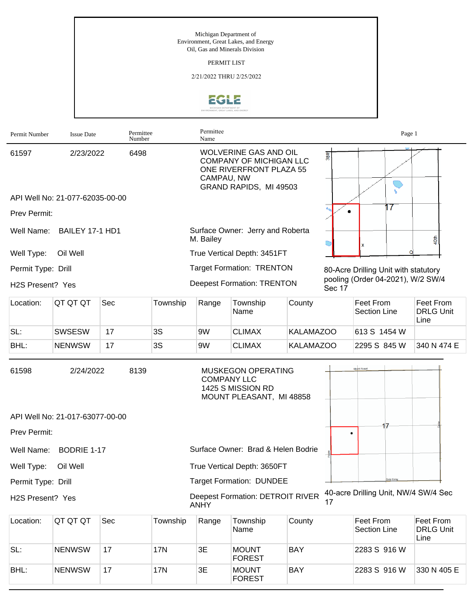Michigan Department of Environment, Great Lakes, and Energy Oil, Gas and Minerals Division

PERMIT LIST

2/21/2022 THRU 2/25/2022



| Permit Number      | <b>Issue Date</b>               |     | Permittee<br>Number | Permittee<br>Name                                                                                                                                     |                                                                                                  |                  |        | Page 1                               |                                       |
|--------------------|---------------------------------|-----|---------------------|-------------------------------------------------------------------------------------------------------------------------------------------------------|--------------------------------------------------------------------------------------------------|------------------|--------|--------------------------------------|---------------------------------------|
| 61597              | 2/23/2022                       |     | 6498                | <b>WOLVERINE GAS AND OIL</b><br>38 <sup>th</sup><br><b>COMPANY OF MICHIGAN LLC</b><br>ONE RIVERFRONT PLAZA 55<br>CAMPAU, NW<br>GRAND RAPIDS, MI 49503 |                                                                                                  |                  |        |                                      |                                       |
|                    | API Well No: 21-077-62035-00-00 |     |                     |                                                                                                                                                       |                                                                                                  |                  |        |                                      |                                       |
| Prev Permit:       |                                 |     |                     |                                                                                                                                                       |                                                                                                  |                  |        | 17                                   |                                       |
| Well Name:         | BAILEY 17-1 HD1                 |     |                     | Surface Owner: Jerry and Roberta<br>M. Bailey                                                                                                         |                                                                                                  |                  |        |                                      | 40th                                  |
| Well Type:         | Oil Well                        |     |                     |                                                                                                                                                       | True Vertical Depth: 3451FT                                                                      |                  |        |                                      |                                       |
| Permit Type: Drill |                                 |     |                     |                                                                                                                                                       | <b>Target Formation: TRENTON</b>                                                                 |                  |        | 80-Acre Drilling Unit with statutory |                                       |
| H2S Present? Yes   |                                 |     |                     |                                                                                                                                                       | <b>Deepest Formation: TRENTON</b>                                                                |                  | Sec 17 | pooling (Order 04-2021), W/2 SW/4    |                                       |
| Location:          | QT QT QT                        | Sec | Township            | Range                                                                                                                                                 | Township<br>Name                                                                                 | County           |        | Feet From<br><b>Section Line</b>     | Feet From<br><b>DRLG Unit</b><br>Line |
| SL:                | <b>SWSESW</b>                   | 17  | 3S                  | 9W                                                                                                                                                    | <b>CLIMAX</b>                                                                                    | <b>KALAMAZOO</b> |        | 613 S 1454 W                         |                                       |
| BHL:               | <b>NENWSW</b>                   | 17  | 3S                  | 9W                                                                                                                                                    | <b>CLIMAX</b>                                                                                    | <b>KALAMAZOO</b> |        | 2295 S 845 W                         | 340 N 474 E                           |
| 61598              | 2/24/2022                       |     | 8139                |                                                                                                                                                       | <b>MUSKEGON OPERATING</b><br><b>COMPANY LLC</b><br>1425 S MISSION RD<br>MOUNT PLEASANT, MI 48858 |                  |        | Mount Forest                         |                                       |
|                    | API Well No: 21-017-63077-00-00 |     |                     |                                                                                                                                                       |                                                                                                  |                  |        |                                      |                                       |
| Prev Permit:       |                                 |     |                     |                                                                                                                                                       |                                                                                                  |                  |        | 17<br>٠                              |                                       |
| Well Name:         | BODRIE 1-17                     |     |                     |                                                                                                                                                       | Surface Owner: Brad & Helen Bodrie                                                               |                  |        |                                      |                                       |
| Well Type:         | Oil Well                        |     |                     |                                                                                                                                                       | True Vertical Depth: 3650FT                                                                      |                  |        |                                      |                                       |
| Permit Type: Drill |                                 |     |                     |                                                                                                                                                       | <b>Target Formation: DUNDEE</b>                                                                  |                  |        | Cody Este                            |                                       |
| H2S Present? Yes   |                                 |     |                     | <b>ANHY</b>                                                                                                                                           | <b>Deepest Formation: DETROIT RIVER</b>                                                          |                  | 17     | 40-acre Drilling Unit, NW/4 SW/4 Sec |                                       |
| Location:          | QT QT QT                        | Sec | Township            | Range                                                                                                                                                 | Township<br>Name                                                                                 | County           |        | Feet From<br><b>Section Line</b>     | Feet From<br><b>DRLG Unit</b><br>Line |
| SL:                | <b>NENWSW</b>                   | 17  | 17N                 | 3E                                                                                                                                                    | <b>MOUNT</b><br><b>FOREST</b>                                                                    | <b>BAY</b>       |        | 2283 S 916 W                         |                                       |

FOREST

BAY 2283 S 916 W 330 N 405 E

BHL: NENWSW 17 17N 3E MOUNT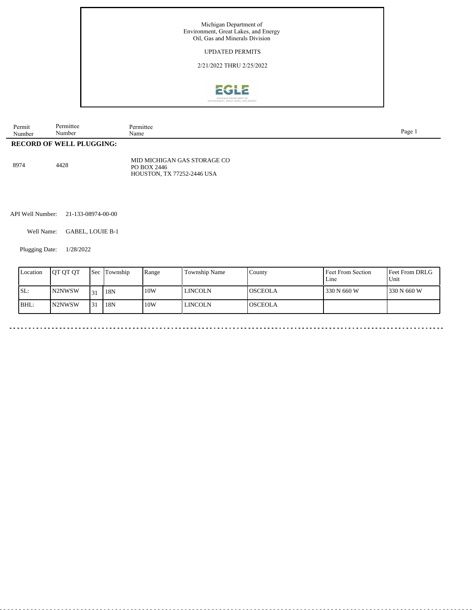

| Permit<br>Number | Permittee<br>Number         | Permittee<br>Name | Page |  |
|------------------|-----------------------------|-------------------|------|--|
| <b>RECORD</b>    | OF<br><b>WELL PLUGGING:</b> |                   |      |  |

|      |      | MID MICHIGAN GAS STORAGE CO       |
|------|------|-----------------------------------|
| 8974 | 4428 | PO BOX 2446                       |
|      |      | <b>HOUSTON. TX 77252-2446 USA</b> |

API Well Number: 21-133-08974-00-00

Well Name: GABEL, LOUIE B-1

<u>. . . . . . . . . . .</u>

. . . . . . . . . . . . . . . . . . .

Plugging Date: 1/28/2022

| Location | <b>JOT OT OT</b> |        | <b>Sec Township</b> | Range | Township Name | County          | Feet From Section<br>Line | Feet From DRLG<br>Unit |
|----------|------------------|--------|---------------------|-------|---------------|-----------------|---------------------------|------------------------|
| SL:      | N2NWSW           | $\sim$ | 18N                 | 10W   | l lincoln     | IOSCEOLA        | 330 N 660 W               | 1330 N 660 W           |
| BHL:     | <b>IN2NWSW</b>   | 131    | 18N                 | 10W   | l lincoln     | <b>IOSCEOLA</b> |                           |                        |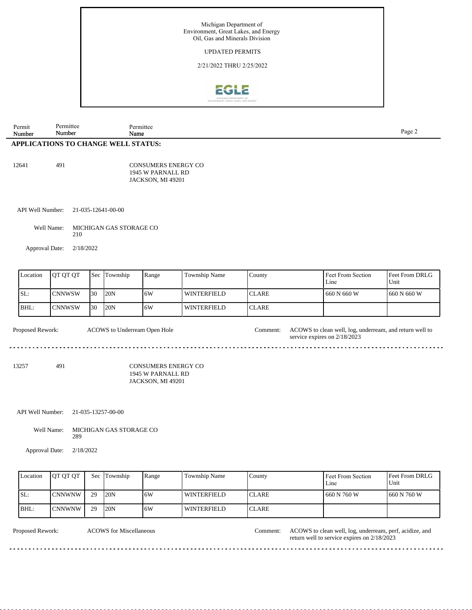

| Permit<br>Number | Permittee<br>Number | Permittee<br>Name                          | Page 2 |
|------------------|---------------------|--------------------------------------------|--------|
|                  |                     | <b>APPLICATIONS TO CHANGE WELL STATUS:</b> |        |
|                  |                     |                                            |        |
| 12641            | 491                 | CONSUMERS ENERGY CO                        |        |

1945 W PARNALL RD JACKSON, MI 49201

API Well Number: 21-035-12641-00-00

Well Name: MICHIGAN GAS STORAGE CO 210

Approval Date: 2/18/2022

| Location | IOT OT OT     |     | <b>Sec Township</b> | Range | Township Name | County        | Feet From Section<br>Line | <b>Feet From DRLG</b><br>Unit |
|----------|---------------|-----|---------------------|-------|---------------|---------------|---------------------------|-------------------------------|
| ISL:     | <b>CNNWSW</b> | 130 | 120N                | 16W   | l winterfield | <b>ICLARE</b> | 660 N 660 W               | 1660 N 660 W                  |
| BHL:     | <b>CNNWSW</b> | 130 | 120N                | 16W   | l winterfield | <b>ICLARE</b> |                           |                               |

Proposed Rework: ACOWS to clean well, log, underream, and return well to ACOWS to Underream Open Hole Comment:

13257 491

CONSUMERS ENERGY CO 1945 W PARNALL RD JACKSON, MI 49201

API Well Number: 21-035-13257-00-00

Well Name: MICHIGAN GAS STORAGE CO 289

Approval Date: 2/18/2022

| Location | <b>OT OT OT</b> | Sec | Township | Range | Township Name | County        | Feet From Section<br>Line | <b>Feet From DRLG</b><br>Unit |
|----------|-----------------|-----|----------|-------|---------------|---------------|---------------------------|-------------------------------|
| SL:      | <b>CNNWNW</b>   | 29  | 120N     | 16W   | l winterfield | <b>ICLARE</b> | 660 N 760 W               | 1660 N 760 W                  |
| BHL:     | ICNNWNW         | 29  | 20N      | 16W   | l winterfield | <b>ICLARE</b> |                           |                               |

. . . . . . . . . . . .

ACOWS for Miscellaneous Comment:

Proposed Rework: ACOWS for Miscellaneous **ACOWS** to clean well, log, underream, perf, acidize, and return well to service expires on 2/18/2023

<u>. . . . . . . . . . . . . . . .</u>

service expires on 2/18/2023

<u>. . . . . . . . . . . . .</u>

<u>..............</u>

<u>. . . . . . . .</u>

 $\frac{1}{2} \left( \frac{1}{2} \right) \left( \frac{1}{2} \right) \left( \frac{1}{2} \right) \left( \frac{1}{2} \right)$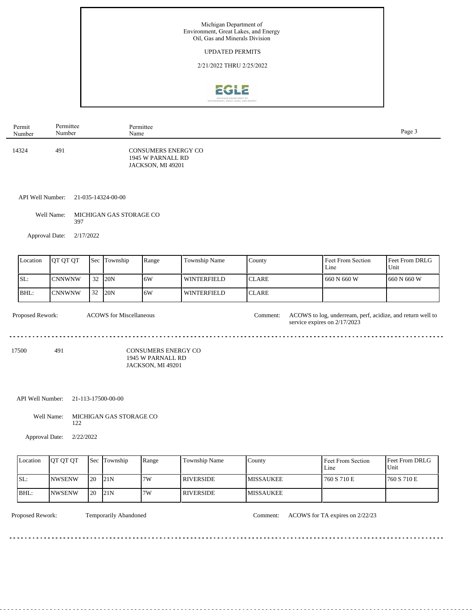

| Permit | Permittee | Permittee                                                            | Page 3 |
|--------|-----------|----------------------------------------------------------------------|--------|
| Number | Number    | Name                                                                 |        |
| 14324  | 491       | <b>CONSUMERS ENERGY CO</b><br>1945 W PARNALL RD<br>JACKSON, MI 49201 |        |

## API Well Number: 21-035-14324-00-00

Well Name: MICHIGAN GAS STORAGE CO 397

Approval Date: 2/17/2022

| Location | OT OT OT      | Sec | Township | Range | <b>Township Name</b> | County        | Feet From Section<br>Line | <b>Feet From DRLG</b><br>l Unit |
|----------|---------------|-----|----------|-------|----------------------|---------------|---------------------------|---------------------------------|
| SL:      | <b>CNNWNW</b> | 32  | 120N     | 6W    | <b>WINTERFIELD</b>   | <b>ICLARE</b> | l 660 N 660 W             | 1660 N 660 W                    |
| BHL:     | <b>CNNWNW</b> | 32  | 120N     | 6W    | <b>WINTERFIELD</b>   | <b>ICLARE</b> |                           |                                 |

| <b>Proposed Rework:</b> |     | <b>ACOWS</b> for Miscellaneous                                | Comment: | ACOWS to log, underream, perf, acidize, and return well to<br>service expires on 2/17/2023 |
|-------------------------|-----|---------------------------------------------------------------|----------|--------------------------------------------------------------------------------------------|
| 17500                   | 491 | CONSUMERS ENERGY CO<br>1945 W PARNALL RD<br>JACKSON, MI 49201 |          |                                                                                            |

## API Well Number: 21-113-17500-00-00

Well Name: MICHIGAN GAS STORAGE CO 122

<u>. . . . . . . . .</u>

Approval Date: 2/22/2022

| Location | <b>OT OT OT</b> |      | <b>Sec</b> Township | Range | Township Name    | County           | <b>Feet From Section</b><br>Line | <b>Feet From DRLG</b><br>Unit |
|----------|-----------------|------|---------------------|-------|------------------|------------------|----------------------------------|-------------------------------|
| ISL:     | <b>INWSENW</b>  | l 20 | 121N                | 7W    | I RIVERSIDE.     | <b>MISSAUKEE</b> | 760 S 710 E                      | 760 S 710 E                   |
| IBHL:    | INWSENW         | l 20 | 121N                | 7W    | <b>RIVERSIDE</b> | <b>MISSAUKEE</b> |                                  |                               |

<u>. . . . . . . . . . . . . . .</u>

dia a a a a

Proposed Rework: Temporarily Abandoned Comment: ACOWS for TA expires on 2/22/23

. . . . .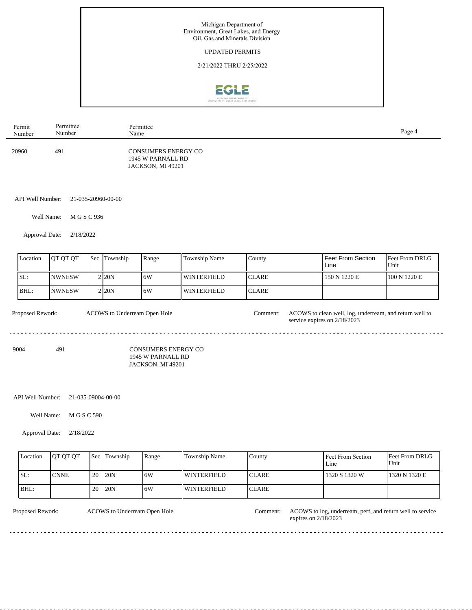

| Permit | Permittee | Permittee                                                            | Page 4 |
|--------|-----------|----------------------------------------------------------------------|--------|
| Number | Number    | Name                                                                 |        |
| 20960  | 491       | <b>CONSUMERS ENERGY CO</b><br>1945 W PARNALL RD<br>JACKSON, MI 49201 |        |

API Well Number: 21-035-20960-00-00

Well Name: M G S C 936

Approval Date: 2/18/2022

| Location    | <b>IOT OT OT</b> | <b>Sec Township</b> | Range | <b>Township Name</b> | County       | <b>Feet From Section</b><br>Line | <b>Feet From DRLG</b><br>Unit |
|-------------|------------------|---------------------|-------|----------------------|--------------|----------------------------------|-------------------------------|
| ISL:        | <b>NWNESW</b>    | 2120N               | 16W   | WINTERFIELD          | <b>CLARE</b> | 150 N 1220 E                     | 100 N 1220 E                  |
| <b>BHL:</b> | <b>NWNESW</b>    | 2120N               | .6W   | <b>WINTERFIELD</b>   | <b>CLARE</b> |                                  |                               |

| <b>Proposed Rework:</b> |     | ACOWS to Underream Open Hole                    | Comment: | ACOWS to clean well, log, underream, and return well to<br>service expires on $2/18/2023$ |
|-------------------------|-----|-------------------------------------------------|----------|-------------------------------------------------------------------------------------------|
| 9004                    | 491 | <b>CONSUMERS ENERGY CO</b><br>$\overline{1011}$ |          |                                                                                           |

1945 W PARNALL RD JACKSON, MI 49201

## API Well Number: 21-035-09004-00-00

Well Name: M G S C 590

. . . . . . . . . . . . . .

Approval Date: 2/18/2022

| Location | <b>OT OT OT</b> |     | <b>Sec Township</b> | Range | Township Name      | County        | Feet From Section<br>Line | <b>Feet From DRLG</b><br>Unit |
|----------|-----------------|-----|---------------------|-------|--------------------|---------------|---------------------------|-------------------------------|
| ISL:     | <b>CNNE</b>     | -20 | 20N                 | 16W   | <b>WINTERFIELD</b> | <b>ICLARE</b> | 1320 S 1320 W             | 1320 N 1320 E                 |
| BHL:     |                 | 20  | 20N                 | 16W   | WINTERFIELD        | <b>ICLARE</b> |                           |                               |

ACOWS to Underream Open Hole

Proposed Rework: ACOWS to log, underream, perf, and return well to service expires on 2/18/2023

 $- - - - -$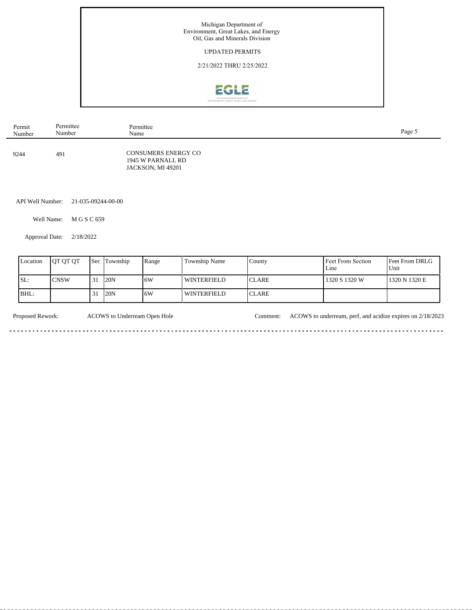

| Permit | Permittee | Permittee                                                            | Page 5 |
|--------|-----------|----------------------------------------------------------------------|--------|
| Number | Number    | Name                                                                 |        |
| 9244   | 491       | <b>CONSUMERS ENERGY CO</b><br>1945 W PARNALL RD<br>JACKSON, MI 49201 |        |

API Well Number: 21-035-09244-00-00

Well Name: M G S C 659

Approval Date: 2/18/2022

l.

 $\sim$   $\sim$   $\sim$ 

| Location | <b>IOT OT OT</b> |    | <b>Sec Township</b> | Range | <b>Township Name</b> | County | Feet From Section<br>Line | <b>Feet From DRLG</b><br>Unit |
|----------|------------------|----|---------------------|-------|----------------------|--------|---------------------------|-------------------------------|
| ISL:     | <b>CNSW</b>      | 31 | 120N                | 6W    | WINTERFIELD          | ICLARE | 1320 S 1320 W             | 1320 N 1320 E                 |
| BHL:     |                  |    | 20N                 | 6W    | WINTERFIELD          | ICLARE |                           |                               |

Proposed Rework: ACOWS to Underream Open Hole Comment: ACOWS to underream, perf, and acidize expires on 2/18/2023